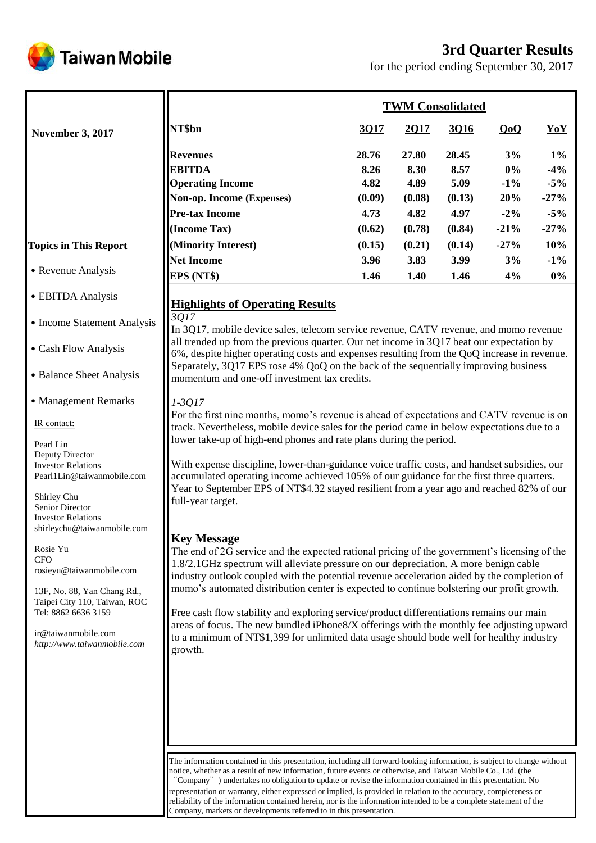# **3rd Quarter Results**



for the period ending September 30, 2017

|                              | <b>TWM Consolidated</b>   |        |        |        |        |        |  |
|------------------------------|---------------------------|--------|--------|--------|--------|--------|--|
| <b>November 3, 2017</b>      | NT\$bn                    | 3Q17   | 2Q17   | 3Q16   | QoQ    | YoY    |  |
|                              | <b>Revenues</b>           | 28.76  | 27.80  | 28.45  | 3%     | $1\%$  |  |
|                              | <b>EBITDA</b>             | 8.26   | 8.30   | 8.57   | $0\%$  | $-4\%$ |  |
|                              | <b>Operating Income</b>   | 4.82   | 4.89   | 5.09   | $-1\%$ | $-5%$  |  |
|                              | Non-op. Income (Expenses) | (0.09) | (0.08) | (0.13) | 20%    | $-27%$ |  |
|                              | <b>Pre-tax Income</b>     | 4.73   | 4.82   | 4.97   | $-2\%$ | $-5\%$ |  |
|                              | (Income Tax)              | (0.62) | (0.78) | (0.84) | $-21%$ | $-27%$ |  |
| <b>Topics in This Report</b> | (Minority Interest)       | (0.15) | (0.21) | (0.14) | $-27%$ | 10%    |  |
|                              | <b>Net Income</b>         | 3.96   | 3.83   | 3.99   | 3%     | $-1\%$ |  |
| • Revenue Analysis           | EPS (NT\$)                | 1.46   | 1.40   | 1.46   | 4%     | $0\%$  |  |

# **Highlights of Operating Results**

#### • Income Statement Analysis

˙Cash Flow Analysis

˙EBITDA Analysis

• Balance Sheet Analysis

• Management Remarks

IR contact:

Pearl Lin Deputy Director Investor Relations Pearl1Lin@taiwanmobile.com

Shirley Chu Senior Director Investor Relations shirleychu@taiwanmobile.com

Rosie Yu **CFO** rosieyu@taiwanmobile.com

13F, No. 88, Yan Chang Rd., Taipei City 110, Taiwan, ROC Tel: 8862 6636 3159

ir@taiwanmobile.com *http://www.taiwanmobile.com* *3Q17*

In 3Q17, mobile device sales, telecom service revenue, CATV revenue, and momo revenue all trended up from the previous quarter. Our net income in 3Q17 beat our expectation by 6%, despite higher operating costs and expenses resulting from the QoQ increase in revenue. Separately, 3Q17 EPS rose 4% QoQ on the back of the sequentially improving business momentum and one-off investment tax credits.

### *1-3Q17*

For the first nine months, momo's revenue is ahead of expectations and CATV revenue is on track. Nevertheless, mobile device sales for the period came in below expectations due to a lower take-up of high-end phones and rate plans during the period.

With expense discipline, lower-than-guidance voice traffic costs, and handset subsidies, our accumulated operating income achieved 105% of our guidance for the first three quarters. Year to September EPS of NT\$4.32 stayed resilient from a year ago and reached 82% of our full-year target.

## **Key Message**

The end of 2G service and the expected rational pricing of the government's licensing of the 1.8/2.1GHz spectrum will alleviate pressure on our depreciation. A more benign cable industry outlook coupled with the potential revenue acceleration aided by the completion of momo's automated distribution center is expected to continue bolstering our profit growth.

Free cash flow stability and exploring service/product differentiations remains our main areas of focus. The new bundled iPhone8/X offerings with the monthly fee adjusting upward to a minimum of NT\$1,399 for unlimited data usage should bode well for healthy industry growth.

The information contained in this presentation, including all forward-looking information, is subject to change without notice, whether as a result of new information, future events or otherwise, and Taiwan Mobile Co., Ltd. (the "Company") undertakes no obligation to update or revise the information contained in this presentation. No representation or warranty, either expressed or implied, is provided in relation to the accuracy, completeness or reliability of the information contained herein, nor is the information intended to be a complete statement of the Company, markets or developments referred to in this presentation.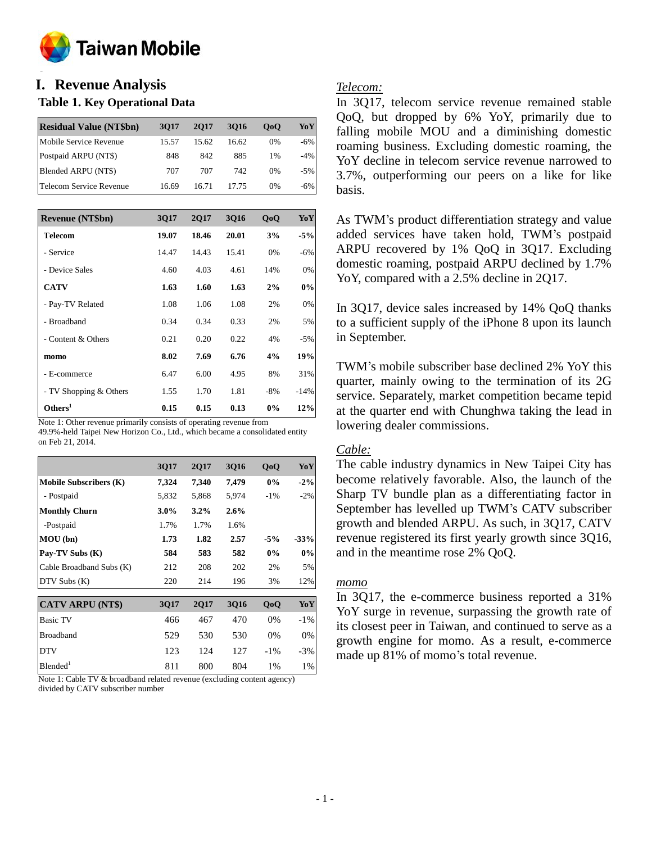

#### **o I. Revenue Analysis**

### **Table 1. Key Operational Data**

| <b>Residual Value (NT\$bn)</b> | 3017  | 2017  | 3016  | 0 <sub>0</sub> | YoY    |
|--------------------------------|-------|-------|-------|----------------|--------|
| Mobile Service Revenue         | 15.57 | 15.62 | 16.62 | $0\%$          | -6%    |
| Postpaid ARPU (NT\$)           | 848   | 842   | 885   | 1%             | $-4\%$ |
| Blended ARPU (NT\$)            | 707   | 707   | 742   | $0\%$          | $-5%$  |
| Telecom Service Revenue        | 16.69 | 16.71 | 17.75 | 0%             | -6%    |

| <b>Revenue (NT\$bn)</b> | 3017  | <b>2Q17</b> | 3016  | QoQ    | YoY    |
|-------------------------|-------|-------------|-------|--------|--------|
| Telecom                 | 19.07 | 18.46       | 20.01 | 3%     | $-5%$  |
| - Service               | 14.47 | 14.43       | 15.41 | 0%     | $-6%$  |
| - Device Sales          | 4.60  | 4.03        | 4.61  | 14%    | 0%     |
| <b>CATV</b>             | 1.63  | 1.60        | 1.63  | 2%     | $0\%$  |
| - Pay-TV Related        | 1.08  | 1.06        | 1.08  | 2%     | 0%     |
| - Broadband             | 0.34  | 0.34        | 0.33  | 2%     | 5%     |
| - Content & Others      | 0.21  | 0.20        | 0.22  | 4%     | $-5%$  |
| momo                    | 8.02  | 7.69        | 6.76  | 4%     | 19%    |
| - E-commerce            | 6.47  | 6.00        | 4.95  | 8%     | 31%    |
| - TV Shopping & Others  | 1.55  | 1.70        | 1.81  | $-8\%$ | $-14%$ |
| Others <sup>1</sup>     | 0.15  | 0.15        | 0.13  | $0\%$  | 12%    |

Note 1: Other revenue primarily consists of operating revenue from 49.9%-held Taipei New Horizon Co., Ltd., which became a consolidated entity on Feb 21, 2014.

|                               | 3Q17    | <b>2Q17</b> | <b>3Q16</b> | QoQ    | YoY    |
|-------------------------------|---------|-------------|-------------|--------|--------|
| <b>Mobile Subscribers (K)</b> | 7,324   | 7,340       | 7,479       | 0%     | $-2\%$ |
| - Postpaid                    | 5,832   | 5,868       | 5,974       | $-1\%$ | $-2%$  |
| <b>Monthly Churn</b>          | $3.0\%$ | $3.2\%$     | $2.6\%$     |        |        |
| -Postpaid                     | 1.7%    | 1.7%        | 1.6%        |        |        |
| MOU (bn)                      | 1.73    | 1.82        | 2.57        | $-5%$  | $-33%$ |
| Pay-TV Subs (K)               | 584     | 583         | 582         | $0\%$  | 0%     |
| Cable Broadband Subs (K)      | 212     | 208         | 202         | 2%     | 5%     |
| $DTV$ Subs $(K)$              | 220     | 214         | 196         | 3%     | 12%    |
|                               |         |             |             |        |        |
| <b>CATV ARPU (NT\$)</b>       | 3Q17    | <b>2Q17</b> | <b>3Q16</b> | QoQ    | YoY    |
| <b>Basic TV</b>               | 466     | 467         | 470         | 0%     | $-1\%$ |
| <b>Broadband</b>              | 529     | 530         | 530         | 0%     | 0%     |
| <b>DTV</b>                    | 123     | 124         | 127         | $-1\%$ | $-3%$  |
| Blended <sup>1</sup>          | 811     | 800         | 804         | 1%     | 1%     |

Note 1: Cable TV & broadband related revenue (excluding content agency) divided by CATV subscriber number

### *Telecom:*

In 3Q17, telecom service revenue remained stable QoQ, but dropped by 6% YoY, primarily due to falling mobile MOU and a diminishing domestic roaming business. Excluding domestic roaming, the YoY decline in telecom service revenue narrowed to 3.7%, outperforming our peers on a like for like basis.

As TWM's product differentiation strategy and value added services have taken hold, TWM's postpaid ARPU recovered by 1% QoQ in 3Q17. Excluding domestic roaming, postpaid ARPU declined by 1.7% YoY, compared with a 2.5% decline in 2Q17.

In 3Q17, device sales increased by 14% QoQ thanks to a sufficient supply of the iPhone 8 upon its launch in September.

TWM's mobile subscriber base declined 2% YoY this quarter, mainly owing to the termination of its 2G service. Separately, market competition became tepid at the quarter end with Chunghwa taking the lead in lowering dealer commissions.

### *Cable:*

The cable industry dynamics in New Taipei City has become relatively favorable. Also, the launch of the Sharp TV bundle plan as a differentiating factor in September has levelled up TWM's CATV subscriber growth and blended ARPU. As such, in 3Q17, CATV revenue registered its first yearly growth since 3Q16, and in the meantime rose 2% QoQ.

### *momo*

In 3Q17, the e-commerce business reported a 31% YoY surge in revenue, surpassing the growth rate of its closest peer in Taiwan, and continued to serve as a growth engine for momo. As a result, e-commerce made up 81% of momo's total revenue.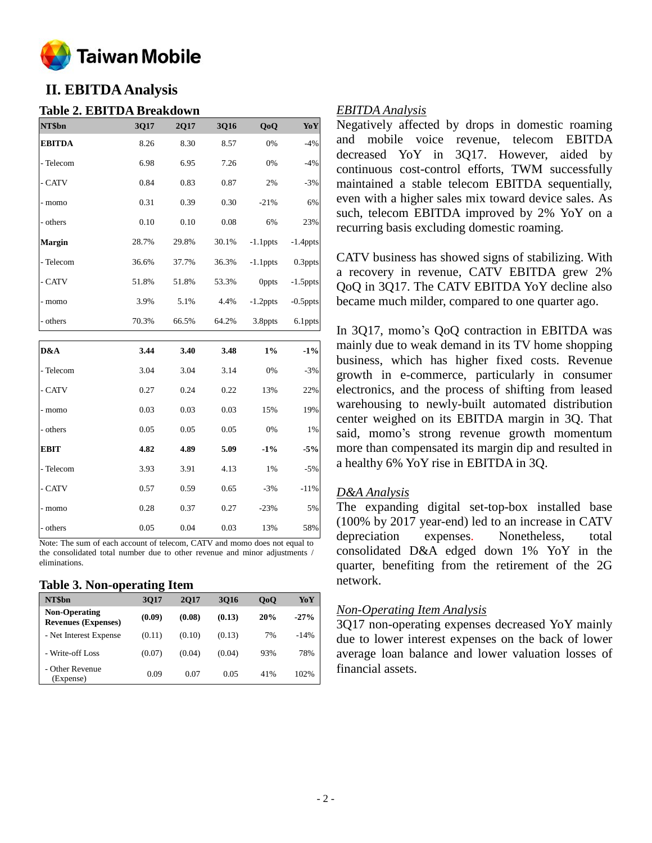

# **II. EBITDA Analysis**

### **Table 2. EBITDA Breakdown**

| NT\$bn        | 3Q17  | 2Q17  | 3Q16  | QoQ         | YoY         |
|---------------|-------|-------|-------|-------------|-------------|
| <b>EBITDA</b> | 8.26  | 8.30  | 8.57  | 0%          | $-4%$       |
| - Telecom     | 6.98  | 6.95  | 7.26  | 0%          | $-4%$       |
| - CATV        | 0.84  | 0.83  | 0.87  | 2%          | $-3%$       |
| - momo        | 0.31  | 0.39  | 0.30  | $-21%$      | 6%          |
| - others      | 0.10  | 0.10  | 0.08  | 6%          | 23%         |
| Margin        | 28.7% | 29.8% | 30.1% | $-1.1$ ppts | $-1.4$ ppts |
| - Telecom     | 36.6% | 37.7% | 36.3% | $-1.1$ ppts | 0.3ppts     |
| - CATV        | 51.8% | 51.8% | 53.3% | Oppts       | $-1.5$ ppts |
| - momo        | 3.9%  | 5.1%  | 4.4%  | $-1.2$ ppts | $-0.5$ ppts |
| - others      | 70.3% | 66.5% | 64.2% | 3.8ppts     | 6.1ppts     |
|               |       |       |       |             |             |
| D&A           | 3.44  | 3.40  | 3.48  | $1\%$       | $-1\%$      |
| - Telecom     | 3.04  | 3.04  | 3.14  | 0%          | $-3%$       |
| - CATV        | 0.27  | 0.24  | 0.22  | 13%         | 22%         |
| - momo        | 0.03  | 0.03  | 0.03  | 15%         | 19%         |
| - others      | 0.05  | 0.05  | 0.05  | 0%          | 1%          |
| <b>EBIT</b>   | 4.82  | 4.89  | 5.09  | $-1\%$      | $-5%$       |
| - Telecom     | 3.93  | 3.91  | 4.13  | 1%          | $-5%$       |
| - CATV        | 0.57  | 0.59  | 0.65  | $-3%$       | $-11%$      |
| - momo        | 0.28  | 0.37  | 0.27  | $-23%$      | 5%          |
| - others      | 0.05  | 0.04  | 0.03  | 13%         | 58%         |

Note: The sum of each account of telecom, CATV and momo does not equal to the consolidated total number due to other revenue and minor adjustments / eliminations.

#### **Table 3. Non-operating Item**

| NT\$bn                                             | 3017   | <b>2017</b> | 3016   | 0 <sub>0</sub> | YoY    |
|----------------------------------------------------|--------|-------------|--------|----------------|--------|
| <b>Non-Operating</b><br><b>Revenues (Expenses)</b> | (0.09) | (0.08)      | (0.13) | 20%            | $-27%$ |
| - Net Interest Expense                             | (0.11) | (0.10)      | (0.13) | 7%             | $-14%$ |
| - Write-off Loss                                   | (0.07) | (0.04)      | (0.04) | 93%            | 78%    |
| - Other Revenue<br>(Expense)                       | 0.09   | 0.07        | 0.05   | 41%            | 102%   |

#### *EBITDA Analysis*

Negatively affected by drops in domestic roaming and mobile voice revenue, telecom EBITDA decreased YoY in 3Q17. However, aided by continuous cost-control efforts, TWM successfully maintained a stable telecom EBITDA sequentially, even with a higher sales mix toward device sales. As such, telecom EBITDA improved by 2% YoY on a recurring basis excluding domestic roaming.

CATV business has showed signs of stabilizing. With a recovery in revenue, CATV EBITDA grew 2% QoQ in 3Q17. The CATV EBITDA YoY decline also became much milder, compared to one quarter ago.

In 3Q17, momo's QoQ contraction in EBITDA was mainly due to weak demand in its TV home shopping business, which has higher fixed costs. Revenue growth in e-commerce, particularly in consumer electronics, and the process of shifting from leased warehousing to newly-built automated distribution center weighed on its EBITDA margin in 3Q. That said, momo's strong revenue growth momentum more than compensated its margin dip and resulted in a healthy 6% YoY rise in EBITDA in 3Q.

### *D&A Analysis*

The expanding digital set-top-box installed base (100% by 2017 year-end) led to an increase in CATV depreciation expenses. Nonetheless, total consolidated D&A edged down 1% YoY in the quarter, benefiting from the retirement of the 2G network.

#### *Non-Operating Item Analysis*

3Q17 non-operating expenses decreased YoY mainly due to lower interest expenses on the back of lower average loan balance and lower valuation losses of financial assets.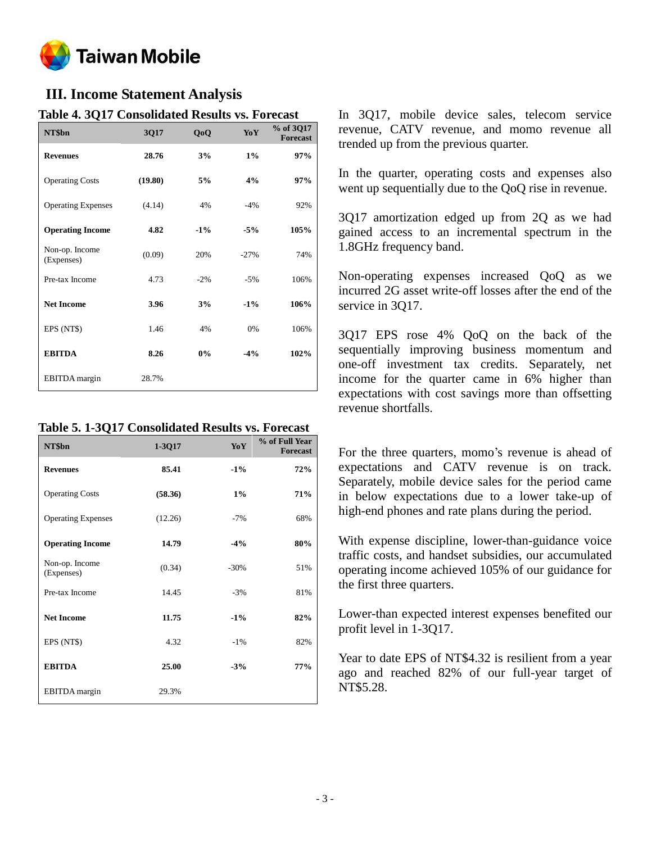

# **III. Income Statement Analysis**

| Table 4. JUTT Consonuated Results vs. Forecast |         |        |        |                              |  |  |
|------------------------------------------------|---------|--------|--------|------------------------------|--|--|
| NT\$bn                                         | 3Q17    | QoQ    | YoY    | % of 3Q17<br><b>Forecast</b> |  |  |
| <b>Revenues</b>                                | 28.76   | 3%     | $1\%$  | 97%                          |  |  |
| <b>Operating Costs</b>                         | (19.80) | 5%     | 4%     | 97%                          |  |  |
| <b>Operating Expenses</b>                      | (4.14)  | 4%     | $-4%$  | 92%                          |  |  |
| <b>Operating Income</b>                        | 4.82    | $-1\%$ | $-5%$  | 105%                         |  |  |
| Non-op. Income<br>(Expenses)                   | (0.09)  | 20%    | $-27%$ | 74%                          |  |  |
| Pre-tax Income                                 | 4.73    | $-2%$  | $-5%$  | 106%                         |  |  |
| <b>Net Income</b>                              | 3.96    | 3%     | $-1\%$ | 106%                         |  |  |
| EPS (NT\$)                                     | 1.46    | 4%     | 0%     | 106%                         |  |  |
| <b>EBITDA</b>                                  | 8.26    | 0%     | $-4%$  | 102%                         |  |  |
| EBITDA margin                                  | 28.7%   |        |        |                              |  |  |

## **Table 4. 3Q17 Consolidated Results vs. Forecast**

**Table 5. 1-3Q17 Consolidated Results vs. Forecast**

| NT\$bn                       | 1-3Q17  | YoY    | % of Full Year<br><b>Forecast</b> |
|------------------------------|---------|--------|-----------------------------------|
| <b>Revenues</b>              | 85.41   | $-1\%$ | 72%                               |
| <b>Operating Costs</b>       | (58.36) | $1\%$  | 71%                               |
| <b>Operating Expenses</b>    | (12.26) | $-7%$  | 68%                               |
| <b>Operating Income</b>      | 14.79   | $-4%$  | 80%                               |
| Non-op. Income<br>(Expenses) | (0.34)  | $-30%$ | 51%                               |
| Pre-tax Income               | 14.45   | $-3%$  | 81%                               |
| <b>Net Income</b>            | 11.75   | $-1\%$ | 82%                               |
| EPS (NT\$)                   | 4.32    | $-1\%$ | 82%                               |
| <b>EBITDA</b>                | 25.00   | $-3%$  | 77%                               |
| <b>EBITDA</b> margin         | 29.3%   |        |                                   |

In 3Q17, mobile device sales, telecom service revenue, CATV revenue, and momo revenue all trended up from the previous quarter.

In the quarter, operating costs and expenses also went up sequentially due to the QoQ rise in revenue.

3Q17 amortization edged up from 2Q as we had gained access to an incremental spectrum in the 1.8GHz frequency band.

Non-operating expenses increased QoQ as we incurred 2G asset write-off losses after the end of the service in 3017.

3Q17 EPS rose 4% QoQ on the back of the sequentially improving business momentum and one-off investment tax credits. Separately, net income for the quarter came in 6% higher than expectations with cost savings more than offsetting revenue shortfalls.

For the three quarters, momo's revenue is ahead of expectations and CATV revenue is on track. Separately, mobile device sales for the period came in below expectations due to a lower take-up of high-end phones and rate plans during the period.

With expense discipline, lower-than-guidance voice traffic costs, and handset subsidies, our accumulated operating income achieved 105% of our guidance for the first three quarters.

Lower-than expected interest expenses benefited our profit level in 1-3Q17.

Year to date EPS of NT\$4.32 is resilient from a year ago and reached 82% of our full-year target of NT\$5.28.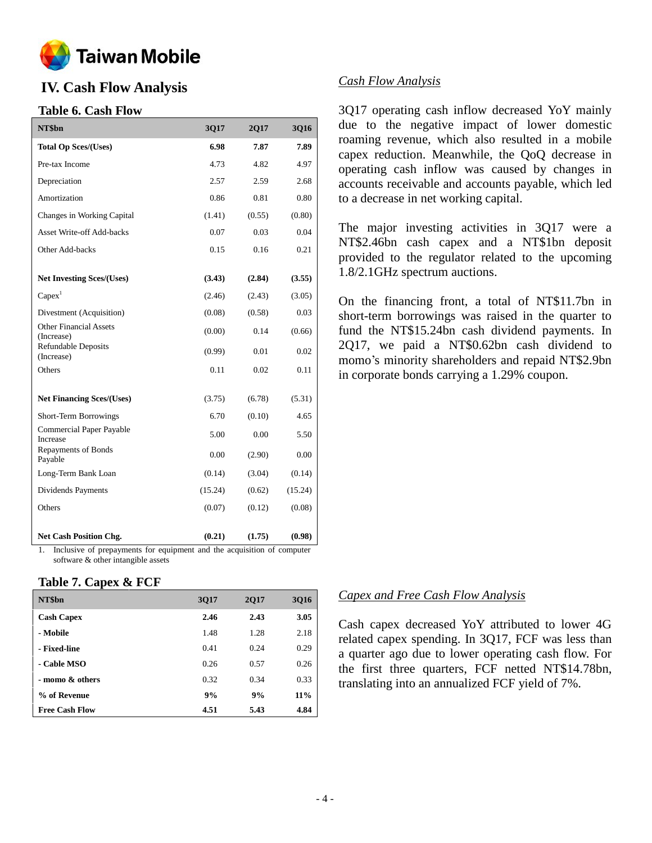

# **IV. Cash Flow Analysis**

### **Table 6. Cash Flow**

| NT\$bn                                                 | 3Q17    | 2Q17   | 3Q16    |
|--------------------------------------------------------|---------|--------|---------|
| <b>Total Op Sces/(Uses)</b>                            | 6.98    | 7.87   | 7.89    |
| Pre-tax Income                                         | 4.73    | 4.82   | 4.97    |
| Depreciation                                           | 2.57    | 2.59   | 2.68    |
| Amortization                                           | 0.86    | 0.81   | 0.80    |
| Changes in Working Capital                             | (1.41)  | (0.55) | (0.80)  |
| <b>Asset Write-off Add-backs</b>                       | 0.07    | 0.03   | 0.04    |
| Other Add-backs                                        | 0.15    | 0.16   | 0.21    |
| <b>Net Investing Sces/(Uses)</b>                       | (3.43)  | (2.84) | (3.55)  |
| Capex <sup>1</sup>                                     | (2.46)  | (2.43) | (3.05)  |
| Divestment (Acquisition)                               | (0.08)  | (0.58) | 0.03    |
| <b>Other Financial Assets</b>                          | (0.00)  | 0.14   | (0.66)  |
| (Increase)<br><b>Refundable Deposits</b><br>(Increase) | (0.99)  | 0.01   | 0.02    |
| Others                                                 | 0.11    | 0.02   | 0.11    |
| <b>Net Financing Sces/(Uses)</b>                       | (3.75)  | (6.78) | (5.31)  |
| Short-Term Borrowings                                  | 6.70    | (0.10) | 4.65    |
| Commercial Paper Payable<br>Increase                   | 5.00    | 0.00   | 5.50    |
| Repayments of Bonds<br>Payable                         | 0.00    | (2.90) | 0.00    |
| Long-Term Bank Loan                                    | (0.14)  | (3.04) | (0.14)  |
| Dividends Payments                                     | (15.24) | (0.62) | (15.24) |
| Others                                                 | (0.07)  | (0.12) | (0.08)  |
| <b>Net Cash Position Chg.</b>                          | (0.21)  | (1.75) | (0.98)  |

1. Inclusive of prepayments for equipment and the acquisition of computer software & other intangible assets

#### **Table 7. Capex & FCF**

| NT\$bn                | 3Q17 | 2Q17 | <b>3Q16</b> |
|-----------------------|------|------|-------------|
| <b>Cash Capex</b>     | 2.46 | 2.43 | 3.05        |
| - Mobile              | 1.48 | 1.28 | 2.18        |
| - Fixed-line          | 0.41 | 0.24 | 0.29        |
| - Cable MSO           | 0.26 | 0.57 | 0.26        |
| - momo & others       | 0.32 | 0.34 | 0.33        |
| % of Revenue          | 9%   | 9%   | $11\%$      |
| <b>Free Cash Flow</b> | 4.51 | 5.43 | 4.84        |

### *Cash Flow Analysis*

3Q17 operating cash inflow decreased YoY mainly due to the negative impact of lower domestic roaming revenue, which also resulted in a mobile capex reduction. Meanwhile, the QoQ decrease in operating cash inflow was caused by changes in accounts receivable and accounts payable, which led to a decrease in net working capital.

The major investing activities in 3Q17 were a NT\$2.46bn cash capex and a NT\$1bn deposit provided to the regulator related to the upcoming 1.8/2.1GHz spectrum auctions.

On the financing front, a total of NT\$11.7bn in short-term borrowings was raised in the quarter to fund the NT\$15.24bn cash dividend payments. In 2Q17, we paid a NT\$0.62bn cash dividend to momo's minority shareholders and repaid NT\$2.9bn in corporate bonds carrying a 1.29% coupon.

### *Capex and Free Cash Flow Analysis*

Cash capex decreased YoY attributed to lower 4G related capex spending. In 3Q17, FCF was less than a quarter ago due to lower operating cash flow. For the first three quarters, FCF netted NT\$14.78bn, translating into an annualized FCF yield of 7%.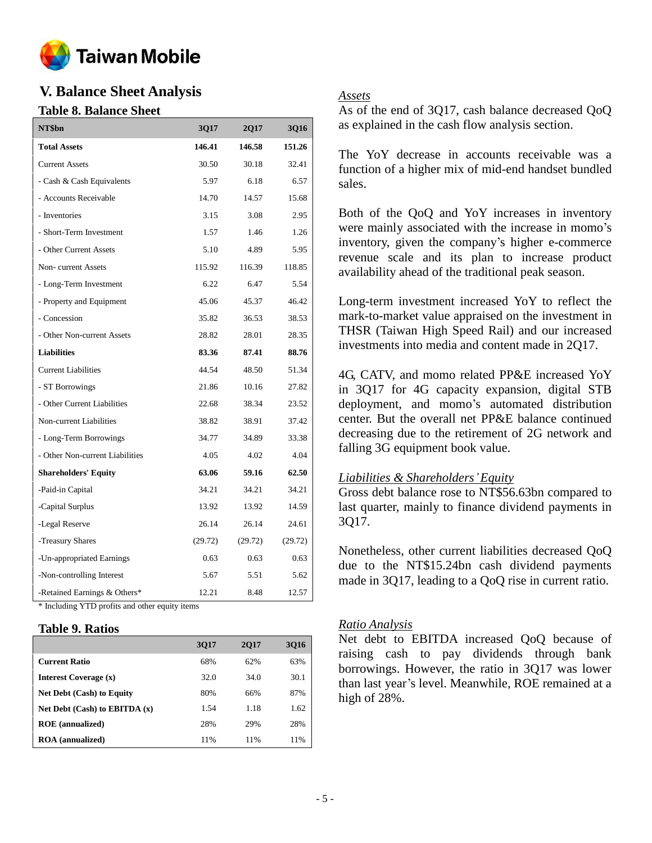

# **V. Balance Sheet Analysis**

### **Table 8. Balance Sheet**

| NT\$bn                                                          | 3Q17    | 2Q17    | 3Q16    |
|-----------------------------------------------------------------|---------|---------|---------|
| <b>Total Assets</b>                                             | 146.41  | 146.58  | 151.26  |
| <b>Current Assets</b>                                           | 30.50   | 30.18   | 32.41   |
| - Cash & Cash Equivalents                                       | 5.97    | 6.18    | 6.57    |
| - Accounts Receivable                                           | 14.70   | 14.57   | 15.68   |
| - Inventories                                                   | 3.15    | 3.08    | 2.95    |
| - Short-Term Investment                                         | 1.57    | 1.46    | 1.26    |
| - Other Current Assets                                          | 5.10    | 4.89    | 5.95    |
| Non-current Assets                                              | 115.92  | 116.39  | 118.85  |
| - Long-Term Investment                                          | 6.22    | 6.47    | 5.54    |
| - Property and Equipment                                        | 45.06   | 45.37   | 46.42   |
| - Concession                                                    | 35.82   | 36.53   | 38.53   |
| - Other Non-current Assets                                      | 28.82   | 28.01   | 28.35   |
| <b>Liabilities</b>                                              | 83.36   | 87.41   | 88.76   |
| <b>Current Liabilities</b>                                      | 44.54   | 48.50   | 51.34   |
| - ST Borrowings                                                 | 21.86   | 10.16   | 27.82   |
| - Other Current Liabilities                                     | 22.68   | 38.34   | 23.52   |
| Non-current Liabilities                                         | 38.82   | 38.91   | 37.42   |
| - Long-Term Borrowings                                          | 34.77   | 34.89   | 33.38   |
| - Other Non-current Liabilities                                 | 4.05    | 4.02    | 4.04    |
| <b>Shareholders' Equity</b>                                     | 63.06   | 59.16   | 62.50   |
| -Paid-in Capital                                                | 34.21   | 34.21   | 34.21   |
| -Capital Surplus                                                | 13.92   | 13.92   | 14.59   |
| -Legal Reserve                                                  | 26.14   | 26.14   | 24.61   |
| -Treasury Shares                                                | (29.72) | (29.72) | (29.72) |
| -Un-appropriated Earnings                                       | 0.63    | 0.63    | 0.63    |
| -Non-controlling Interest                                       | 5.67    | 5.51    | 5.62    |
| -Retained Earnings & Others*<br>$1$ $1'$ $27$ $10'$ $0'$<br>ψT. | 12.21   | 8.48    | 12.57   |

Including YTD profits and other equity items

### **Table 9. Ratios**

|                                   | 3017 | <b>2017</b> | 3016 |
|-----------------------------------|------|-------------|------|
| <b>Current Ratio</b>              | 68%  | 62%         | 63%  |
| Interest Coverage (x)             | 32.0 | 34.0        | 30.1 |
| <b>Net Debt (Cash) to Equity</b>  | 80%  | 66%         | 87%  |
| Net Debt $(Cash)$ to EBITDA $(x)$ | 1.54 | 1.18        | 1.62 |
| <b>ROE</b> (annualized)           | 28%  | 29%         | 28%  |
| <b>ROA</b> (annualized)           | 11%  | 11%         | 11%  |

### *Assets*

As of the end of 3Q17, cash balance decreased QoQ as explained in the cash flow analysis section.

The YoY decrease in accounts receivable was a function of a higher mix of mid-end handset bundled sales.

Both of the QoQ and YoY increases in inventory were mainly associated with the increase in momo's inventory, given the company's higher e-commerce revenue scale and its plan to increase product availability ahead of the traditional peak season.

Long-term investment increased YoY to reflect the mark-to-market value appraised on the investment in THSR (Taiwan High Speed Rail) and our increased investments into media and content made in 2Q17.

4G, CATV, and momo related PP&E increased YoY in 3Q17 for 4G capacity expansion, digital STB deployment, and momo's automated distribution center. But the overall net PP&E balance continued decreasing due to the retirement of 2G network and falling 3G equipment book value.

### *Liabilities & Shareholders'Equity*

Gross debt balance rose to NT\$56.63bn compared to last quarter, mainly to finance dividend payments in 3Q17.

Nonetheless, other current liabilities decreased QoQ due to the NT\$15.24bn cash dividend payments made in 3Q17, leading to a QoQ rise in current ratio.

### *Ratio Analysis*

Net debt to EBITDA increased QoQ because of raising cash to pay dividends through bank borrowings. However, the ratio in 3Q17 was lower than last year's level. Meanwhile, ROE remained at a high of 28%.